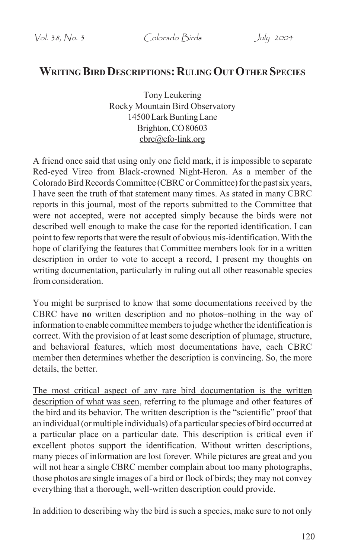# **WRITING BIRD DESCRIPTIONS: RULING OUT OTHER SPECIES**

Tony Leukering Rocky Mountain Bird Observatory 14500 Lark Bunting Lane Brighton, CO 80603 cbrc@cfo-link.org

A friend once said that using only one field mark, it is impossible to separate Red-eyed Vireo from Black-crowned Night-Heron. As a member of the Colorado Bird Records Committee (CBRC or Committee) for the past six years, I have seen the truth of that statement many times. As stated in many CBRC reports in this journal, most of the reports submitted to the Committee that were not accepted, were not accepted simply because the birds were not described well enough to make the case for the reported identification. I can point to few reports that were the result of obvious mis-identification. With the hope of clarifying the features that Committee members look for in a written description in order to vote to accept a record, I present my thoughts on writing documentation, particularly in ruling out all other reasonable species from consideration.

You might be surprised to know that some documentations received by the CBRC have **no** written description and no photos–nothing in the way of information to enable committee members to judge whether the identification is correct. With the provision of at least some description of plumage, structure, and behavioral features, which most documentations have, each CBRC member then determines whether the description is convincing. So, the more details, the better.

The most critical aspect of any rare bird documentation is the written description of what was seen, referring to the plumage and other features of the bird and its behavior. The written description is the "scientific" proof that an individual (or multiple individuals) of a particular species of bird occurred at a particular place on a particular date. This description is critical even if excellent photos support the identification. Without written descriptions, many pieces of information are lost forever. While pictures are great and you will not hear a single CBRC member complain about too many photographs, those photos are single images of a bird or flock of birds; they may not convey everything that a thorough, well-written description could provide.

In addition to describing why the bird is such a species, make sure to not only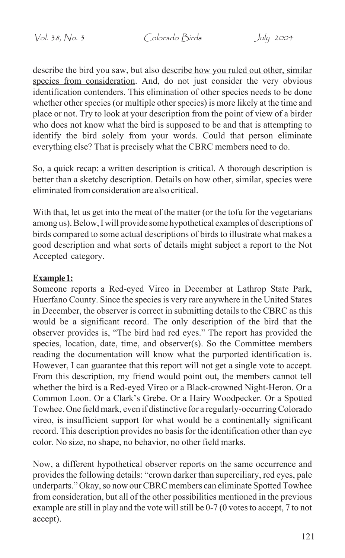describe the bird you saw, but also describe how you ruled out other, similar species from consideration. And, do not just consider the very obvious identification contenders. This elimination of other species needs to be done whether other species (or multiple other species) is more likely at the time and place or not. Try to look at your description from the point of view of a birder who does not know what the bird is supposed to be and that is attempting to identify the bird solely from your words. Could that person eliminate everything else? That is precisely what the CBRC members need to do.

So, a quick recap: a written description is critical. A thorough description is better than a sketchy description. Details on how other, similar, species were eliminated from consideration are also critical.

With that, let us get into the meat of the matter (or the tofu for the vegetarians among us). Below, I will provide some hypothetical examples of descriptions of birds compared to some actual descriptions of birds to illustrate what makes a good description and what sorts of details might subject a report to the Not Accepted category.

# **Example 1:**

Someone reports a Red-eyed Vireo in December at Lathrop State Park, Huerfano County. Since the species is very rare anywhere in the United States in December, the observer is correct in submitting details to the CBRC as this would be a significant record. The only description of the bird that the observer provides is, "The bird had red eyes." The report has provided the species, location, date, time, and observer(s). So the Committee members reading the documentation will know what the purported identification is. However, I can guarantee that this report will not get a single vote to accept. From this description, my friend would point out, the members cannot tell whether the bird is a Red-eyed Vireo or a Black-crowned Night-Heron. Or a Common Loon. Or a Clark's Grebe. Or a Hairy Woodpecker. Or a Spotted Towhee. One field mark, even if distinctive for a regularly-occurring Colorado vireo, is insufficient support for what would be a continentally significant record. This description provides no basis for the identification other than eye color. No size, no shape, no behavior, no other field marks.

Now, a different hypothetical observer reports on the same occurrence and provides the following details: "crown darker than superciliary, red eyes, pale underparts." Okay, so now our CBRC members can eliminate Spotted Towhee from consideration, but all of the other possibilities mentioned in the previous example are still in play and the vote will still be 0-7 (0 votes to accept, 7 to not accept).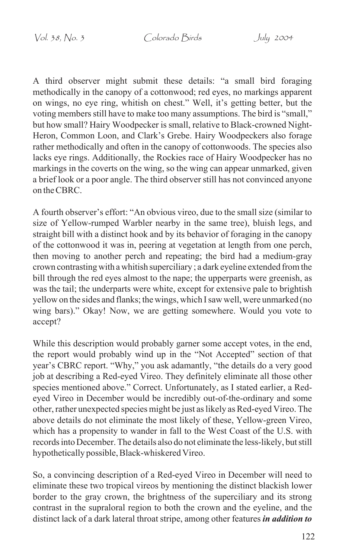Vol. 38, No. 3 Colorado Birds July 2004

A third observer might submit these details: "a small bird foraging methodically in the canopy of a cottonwood; red eyes, no markings apparent on wings, no eye ring, whitish on chest." Well, it's getting better, but the voting members still have to make too many assumptions. The bird is "small," but how small? Hairy Woodpecker is small, relative to Black-crowned Night-Heron, Common Loon, and Clark's Grebe. Hairy Woodpeckers also forage rather methodically and often in the canopy of cottonwoods. The species also lacks eye rings. Additionally, the Rockies race of Hairy Woodpecker has no markings in the coverts on the wing, so the wing can appear unmarked, given a brief look or a poor angle. The third observer still has not convinced anyone on the CBRC.

A fourth observer's effort: "An obvious vireo, due to the small size (similar to size of Yellow-rumped Warbler nearby in the same tree), bluish legs, and straight bill with a distinct hook and by its behavior of foraging in the canopy of the cottonwood it was in, peering at vegetation at length from one perch, then moving to another perch and repeating; the bird had a medium-gray crown contrasting with a whitish superciliary ; a dark eyeline extended from the bill through the red eyes almost to the nape; the upperparts were greenish, as was the tail; the underparts were white, except for extensive pale to brightish yellow on the sides and flanks; the wings, which I saw well, were unmarked (no wing bars)." Okay! Now, we are getting somewhere. Would you vote to accept?

While this description would probably garner some accept votes, in the end, the report would probably wind up in the "Not Accepted" section of that year's CBRC report. "Why," you ask adamantly, "the details do a very good job at describing a Red-eyed Vireo. They definitely eliminate all those other species mentioned above." Correct. Unfortunately, as I stated earlier, a Redeyed Vireo in December would be incredibly out-of-the-ordinary and some other, rather unexpected species might be just as likely as Red-eyed Vireo. The above details do not eliminate the most likely of these, Yellow-green Vireo, which has a propensity to wander in fall to the West Coast of the U.S. with records into December. The details also do not eliminate the less-likely, but still hypothetically possible, Black-whiskered Vireo.

So, a convincing description of a Red-eyed Vireo in December will need to eliminate these two tropical vireos by mentioning the distinct blackish lower border to the gray crown, the brightness of the superciliary and its strong contrast in the supraloral region to both the crown and the eyeline, and the distinct lack of a dark lateral throat stripe, among other features *in addition to*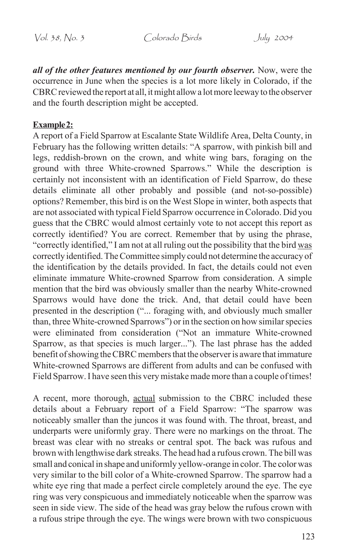*all of the other features mentioned by our fourth observer.* Now, were the occurrence in June when the species is a lot more likely in Colorado, if the CBRC reviewed the report at all, it might allow a lot more leeway to the observer and the fourth description might be accepted.

### **Example 2:**

A report of a Field Sparrow at Escalante State Wildlife Area, Delta County, in February has the following written details: "A sparrow, with pinkish bill and legs, reddish-brown on the crown, and white wing bars, foraging on the ground with three White-crowned Sparrows." While the description is certainly not inconsistent with an identification of Field Sparrow, do these details eliminate all other probably and possible (and not-so-possible) options? Remember, this bird is on the West Slope in winter, both aspects that are not associated with typical Field Sparrow occurrence in Colorado. Did you guess that the CBRC would almost certainly vote to not accept this report as correctly identified? You are correct. Remember that by using the phrase, "correctly identified," I am not at all ruling out the possibility that the bird was correctly identified. The Committee simply could not determine the accuracy of the identification by the details provided. In fact, the details could not even eliminate immature White-crowned Sparrow from consideration. A simple mention that the bird was obviously smaller than the nearby White-crowned Sparrows would have done the trick. And, that detail could have been presented in the description ("... foraging with, and obviously much smaller than, three White-crowned Sparrows") or in the section on how similar species were eliminated from consideration ("Not an immature White-crowned Sparrow, as that species is much larger..."). The last phrase has the added benefit of showing the CBRC members that the observer is aware that immature White-crowned Sparrows are different from adults and can be confused with Field Sparrow. I have seen this very mistake made more than a couple of times!

A recent, more thorough, actual submission to the CBRC included these details about a February report of a Field Sparrow: "The sparrow was noticeably smaller than the juncos it was found with. The throat, breast, and underparts were uniformly gray. There were no markings on the throat. The breast was clear with no streaks or central spot. The back was rufous and brown with lengthwise dark streaks. The head had a rufous crown. The bill was small and conical in shape and uniformly yellow-orange in color. The color was very similar to the bill color of a White-crowned Sparrow. The sparrow had a white eye ring that made a perfect circle completely around the eye. The eye ring was very conspicuous and immediately noticeable when the sparrow was seen in side view. The side of the head was gray below the rufous crown with a rufous stripe through the eye. The wings were brown with two conspicuous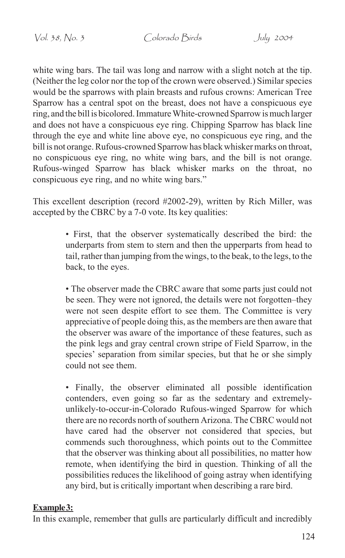white wing bars. The tail was long and narrow with a slight notch at the tip. (Neither the leg color nor the top of the crown were observed.) Similar species would be the sparrows with plain breasts and rufous crowns: American Tree Sparrow has a central spot on the breast, does not have a conspicuous eye ring, and the bill is bicolored. Immature White-crowned Sparrow is much larger and does not have a conspicuous eye ring. Chipping Sparrow has black line through the eye and white line above eye, no conspicuous eye ring, and the bill is not orange. Rufous-crowned Sparrow has black whisker marks on throat, no conspicuous eye ring, no white wing bars, and the bill is not orange. Rufous-winged Sparrow has black whisker marks on the throat, no conspicuous eye ring, and no white wing bars."

This excellent description (record #2002-29), written by Rich Miller, was accepted by the CBRC by a 7-0 vote. Its key qualities:

> • First, that the observer systematically described the bird: the underparts from stem to stern and then the upperparts from head to tail, rather than jumping from the wings, to the beak, to the legs, to the back, to the eyes.

> • The observer made the CBRC aware that some parts just could not be seen. They were not ignored, the details were not forgotten–they were not seen despite effort to see them. The Committee is very appreciative of people doing this, as the members are then aware that the observer was aware of the importance of these features, such as the pink legs and gray central crown stripe of Field Sparrow, in the species' separation from similar species, but that he or she simply could not see them.

> • Finally, the observer eliminated all possible identification contenders, even going so far as the sedentary and extremelyunlikely-to-occur-in-Colorado Rufous-winged Sparrow for which there are no records north of southern Arizona. The CBRC would not have cared had the observer not considered that species, but commends such thoroughness, which points out to the Committee that the observer was thinking about all possibilities, no matter how remote, when identifying the bird in question. Thinking of all the possibilities reduces the likelihood of going astray when identifying any bird, but is critically important when describing a rare bird.

#### Example 3:

In this example, remember that gulls are particularly difficult and incredibly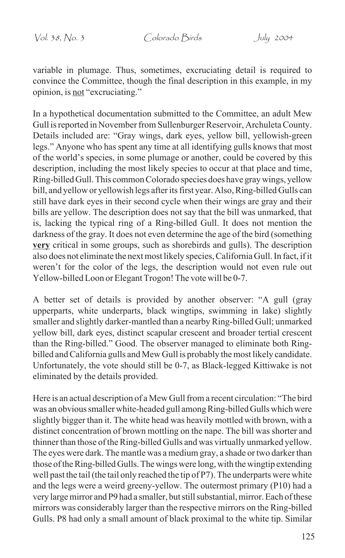variable in plumage. Thus, sometimes, excruciating detail is required to convince the Committee, though the final description in this example, in my opinion, is not "excruciating."

In a hypothetical documentation submitted to the Committee, an adult Mew Gull is reported in November from Sullenburger Reservoir, Archuleta County. Details included are: "Gray wings, dark eyes, yellow bill, yellowish-green legs." Anyone who has spent any time at all identifying gulls knows that most of the world's species, in some plumage or another, could be covered by this description, including the most likely species to occur at that place and time, Ring-billed Gull. This common Colorado species does have gray wings, yellow bill, and yellow or yellowish legs after its first year. Also, Ring-billed Gulls can still have dark eyes in their second cycle when their wings are gray and their bills are yellow. The description does not say that the bill was unmarked, that is, lacking the typical ring of a Ring-billed Gull. It does not mention the darkness of the gray. It does not even determine the age of the bird (something **very** critical in some groups, such as shorebirds and gulls). The description also does not eliminate the next most likely species, California Gull. In fact, if it weren't for the color of the legs, the description would not even rule out Yellow-billed Loon or Elegant Trogon! The vote will be 0-7.

A better set of details is provided by another observer: "A gull (gray upperparts, white underparts, black wingtips, swimming in lake) slightly smaller and slightly darker-mantled than a nearby Ring-billed Gull; unmarked yellow bill, dark eyes, distinct scapular crescent and broader tertial crescent than the Ring-billed." Good. The observer managed to eliminate both Ringbilled and California gulls and Mew Gull is probably the most likely candidate. Unfortunately, the vote should still be 0-7, as Black-legged Kittiwake is not eliminated by the details provided.

Here is an actual description of a Mew Gull from a recent circulation: "The bird was an obvious smaller white-headed gull among Ring-billed Gulls which were slightly bigger than it. The white head was heavily mottled with brown, with a distinct concentration of brown mottling on the nape. The bill was shorter and thinner than those of the Ring-billed Gulls and was virtually unmarked yellow. The eyes were dark. The mantle was a medium gray, a shade or two darker than those of the Ring-billed Gulls. The wings were long, with the wingtip extending well past the tail (the tail only reached the tip of P7). The underparts were white and the legs were a weird greeny-yellow. The outermost primary (P10) had a very large mirror and P9 had a smaller, but still substantial, mirror. Each of these mirrors was considerably larger than the respective mirrors on the Ring-billed Gulls. P8 had only a small amount of black proximal to the white tip. Similar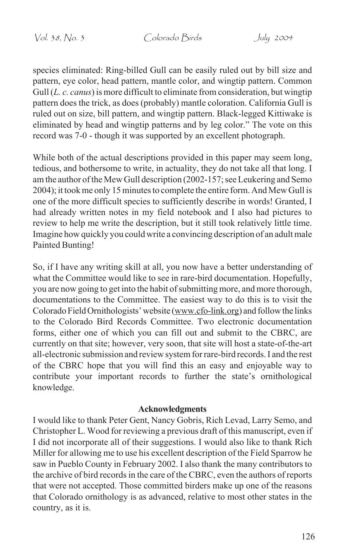Vol. 38, No. 3 Colorado Birds July 2004

species eliminated: Ring-billed Gull can be easily ruled out by bill size and pattern, eye color, head pattern, mantle color, and wingtip pattern. Common Gull (*L. c. canus*) is more difficult to eliminate from consideration, but wingtip pattern does the trick, as does (probably) mantle coloration. California Gull is ruled out on size, bill pattern, and wingtip pattern. Black-legged Kittiwake is eliminated by head and wingtip patterns and by leg color." The vote on this record was 7-0 - though it was supported by an excellent photograph.

While both of the actual descriptions provided in this paper may seem long, tedious, and bothersome to write, in actuality, they do not take all that long. I am the author of the Mew Gull description (2002-157; see Leukering and Semo 2004); it took me only 15 minutes to complete the entire form. And Mew Gull is one of the more difficult species to sufficiently describe in words! Granted, I had already written notes in my field notebook and I also had pictures to review to help me write the description, but it still took relatively little time. Imagine how quickly you could write a convincing description of an adult male Painted Bunting!

So, if I have any writing skill at all, you now have a better understanding of what the Committee would like to see in rare-bird documentation. Hopefully, you are now going to get into the habit of submitting more, and more thorough, documentations to the Committee. The easiest way to do this is to visit the Colorado Field Ornithologists' website (www.cfo-link.org) and follow the links to the Colorado Bird Records Committee. Two electronic documentation forms, either one of which you can fill out and submit to the CBRC, are currently on that site; however, very soon, that site will host a state-of-the-art all-electronic submission and review system for rare-bird records. I and the rest of the CBRC hope that you will find this an easy and enjoyable way to contribute your important records to further the state's ornithological knowledge.

#### **Acknowledgments**

I would like to thank Peter Gent, Nancy Gobris, Rich Levad, Larry Semo, and Christopher L. Wood for reviewing a previous draft of this manuscript, even if I did not incorporate all of their suggestions. I would also like to thank Rich Miller for allowing me to use his excellent description of the Field Sparrow he saw in Pueblo County in February 2002. I also thank the many contributors to the archive of bird records in the care of the CBRC, even the authors of reports that were not accepted. Those committed birders make up one of the reasons that Colorado ornithology is as advanced, relative to most other states in the country, as it is.